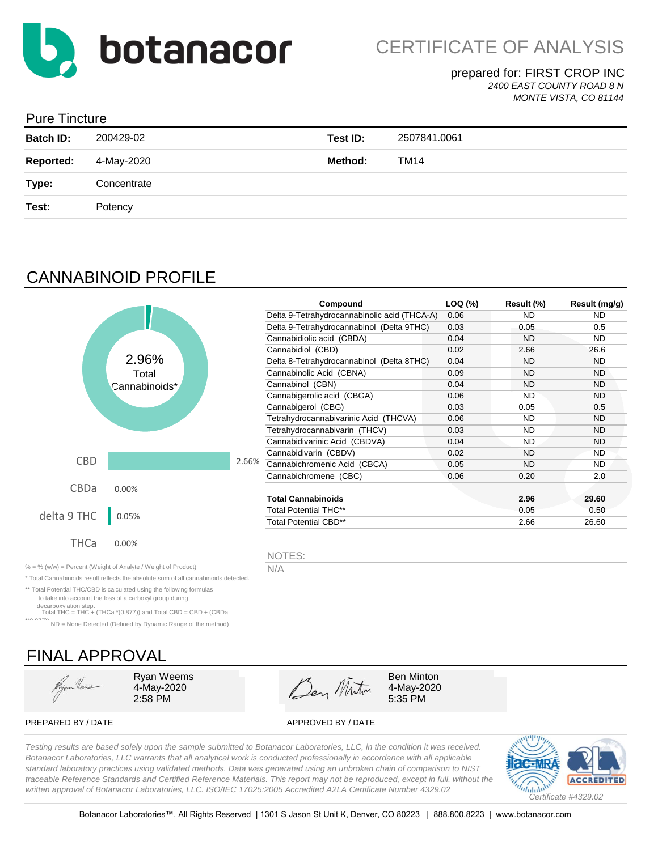

### prepared for: FIRST CROP INC *2400 EAST COUNTY ROAD 8 N*

*MONTE VISTA, CO 81144*

### Pure Tincture

| <b>Batch ID:</b> | 200429-02   | Test ID: | 2507841.0061 |
|------------------|-------------|----------|--------------|
| <b>Reported:</b> | 4-May-2020  | Method:  | TM14         |
| Type:            | Concentrate |          |              |
| Test:            | Potency     |          |              |
|                  |             |          |              |

# CANNABINOID PROFILE

|                      |               |       | Compound                                     | LOQ (%) | Result (%) | Result (mg/g) |
|----------------------|---------------|-------|----------------------------------------------|---------|------------|---------------|
|                      |               |       | Delta 9-Tetrahydrocannabinolic acid (THCA-A) | 0.06    | <b>ND</b>  | ND.           |
|                      |               |       | Delta 9-Tetrahydrocannabinol (Delta 9THC)    | 0.03    | 0.05       | 0.5           |
|                      |               |       | Cannabidiolic acid (CBDA)                    | 0.04    | <b>ND</b>  | ND.           |
|                      |               |       | Cannabidiol (CBD)                            | 0.02    | 2.66       | 26.6          |
|                      | 2.96%         |       | Delta 8-Tetrahydrocannabinol (Delta 8THC)    | 0.04    | ND         | <b>ND</b>     |
|                      | Total         |       | Cannabinolic Acid (CBNA)                     | 0.09    | <b>ND</b>  | ND.           |
|                      | Cannabinoids* |       | Cannabinol (CBN)                             | 0.04    | ND         | <b>ND</b>     |
|                      |               |       | Cannabigerolic acid (CBGA)                   | 0.06    | <b>ND</b>  | ND.           |
|                      |               |       | Cannabigerol (CBG)                           | 0.03    | 0.05       | 0.5           |
|                      |               |       | Tetrahydrocannabivarinic Acid (THCVA)        | 0.06    | <b>ND</b>  | <b>ND</b>     |
|                      |               |       | Tetrahydrocannabivarin (THCV)                | 0.03    | <b>ND</b>  | ND.           |
|                      |               |       | Cannabidivarinic Acid (CBDVA)                | 0.04    | <b>ND</b>  | <b>ND</b>     |
|                      |               |       | Cannabidivarin (CBDV)                        | 0.02    | <b>ND</b>  | <b>ND</b>     |
| <b>CBD</b>           |               | 2.66% | Cannabichromenic Acid (CBCA)                 | 0.05    | <b>ND</b>  | ND.           |
|                      |               |       | Cannabichromene (CBC)                        | 0.06    | 0.20       | 2.0           |
| <b>CBDa</b>          | 0.00%         |       |                                              |         |            |               |
|                      |               |       | Total Cannabinoids                           |         | 2.96       | 29.60         |
| delta 9 THC<br>0.05% |               |       | <b>Total Potential THC**</b>                 |         | 0.05       | 0.50          |
|                      |               |       | <b>Total Potential CBD**</b>                 |         | 2.66       | 26.60         |
| THCa                 | 0.00%         |       | NOTES:                                       |         |            |               |

% = % (w/w) = Percent (Weight of Analyte / Weight of Product)  $N/A$ 

\* Total Cannabinoids result reflects the absolute sum of all cannabinoids detected.

\*\* Total Potential THC/CBD is calculated using the following formulas to take into account the loss of a carboxyl group during

decarboxylation step. Total THC = THC + (THCa \*(0.877)) and Total CBD = CBD + (CBDa

\*(0.877)) ND = None Detected (Defined by Dynamic Range of the method)

# FINAL APPROVAL

Hym Heus

4-May-2020

 $\frac{2.58 \text{ PM}}{2.58 \text{ PM}}$   $\frac{2.58 \text{ PM}}{2.58 \text{ PM}}$   $\frac{2.58 \text{ PM}}{2.58 \text{ PM}}$ Ryan Weems Ben Minton

4-May-2020

PREPARED BY / DATE APPROVED BY / DATE

*Testing results are based solely upon the sample submitted to Botanacor Laboratories, LLC, in the condition it was received. Botanacor Laboratories, LLC warrants that all analytical work is conducted professionally in accordance with all applicable standard laboratory practices using validated methods. Data was generated using an unbroken chain of comparison to NIST traceable Reference Standards and Certified Reference Materials. This report may not be reproduced, except in full, without the written approval of Botanacor Laboratories, LLC. ISO/IEC 17025:2005 Accredited A2LA Certificate Number 4329.02*

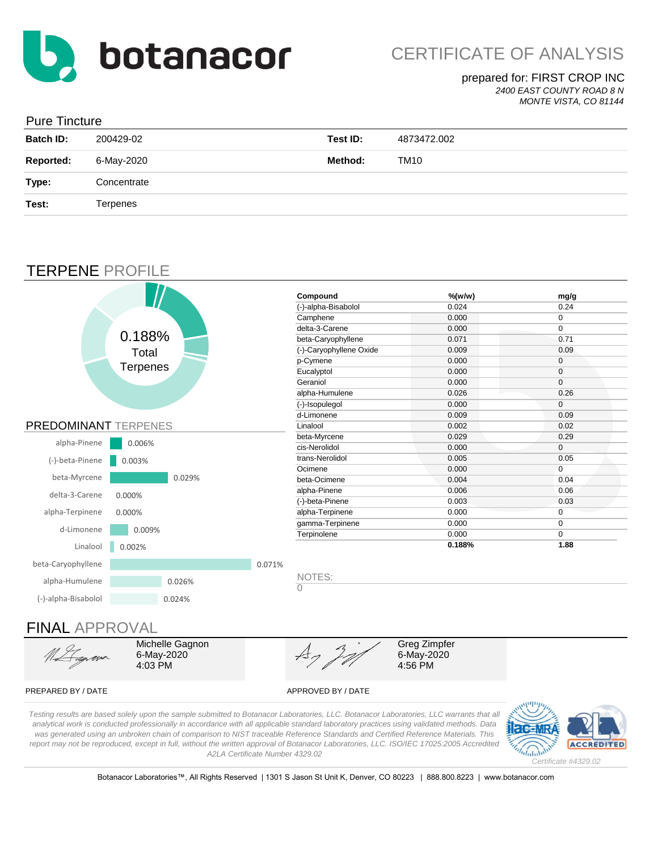

### prepared for: FIRST CROP INC

*2400 EAST COUNTY ROAD 8 N*

#### *MONTE VISTA, CO 81144*

|  | <b>Pure Tincture</b> |
|--|----------------------|
|--|----------------------|

| <b>Batch ID:</b> | 200429-02   | Test ID: | 4873472.002 |
|------------------|-------------|----------|-------------|
| <b>Reported:</b> | 6-May-2020  | Method:  | TM10        |
| Type:            | Concentrate |          |             |
| Test:            | Terpenes    |          |             |
|                  |             |          |             |

# TERPENE PROFILE



# FINAL APPROVAL

Michelle Gagnon 6-May-2020 4:03 PM

Greg Zimpfer 6-May-2020 4:56 PM

#### PREPARED BY / DATE APPROVED BY / DATE

*Testing results are based solely upon the sample submitted to Botanacor Laboratories, LLC. Botanacor Laboratories, LLC warrants that all analytical work is conducted professionally in accordance with all applicable standard laboratory practices using validated methods. Data was generated using an unbroken chain of comparison to NIST traceable Reference Standards and Certified Reference Materials. This report may not be reproduced, except in full, without the written approval of Botanacor Laboratories, LLC. ISO/IEC 17025:2005 Accredited A2LA Certificate Number 4329.02*



Botanacor Laboratories™, All Rights Reserved | 1301 S Jason St Unit K, Denver, CO 80223 | 888.800.8223 | www.botanacor.com